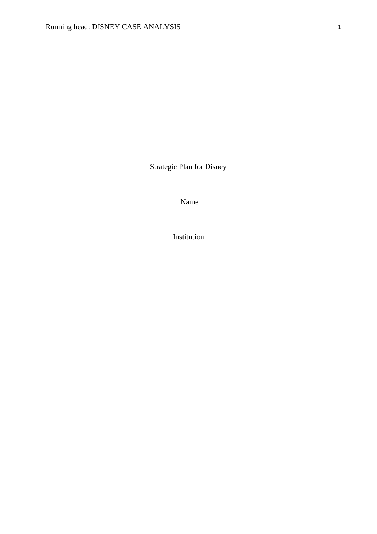Strategic Plan for Disney

Name

Institution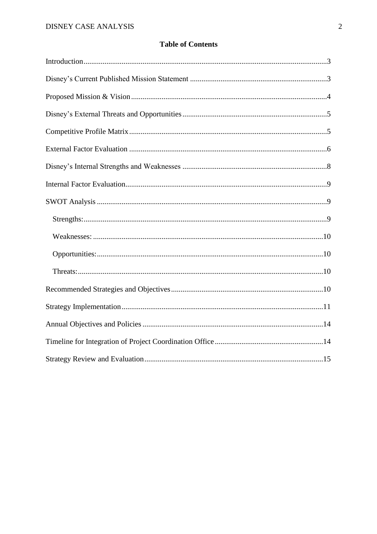## **Table of Contents**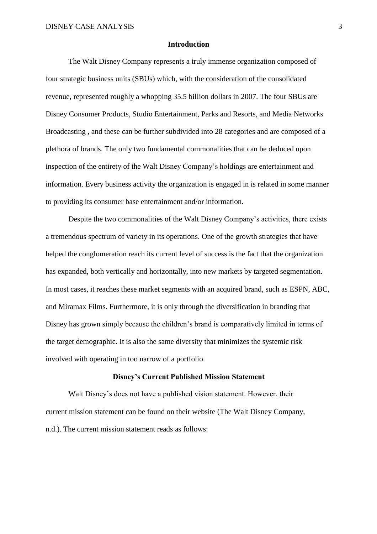#### **Introduction**

The Walt Disney Company represents a truly immense organization composed of four strategic business units (SBUs) which, with the consideration of the consolidated revenue, represented roughly a whopping 35.5 billion dollars in 2007. The four SBUs are Disney Consumer Products, Studio Entertainment, Parks and Resorts, and Media Networks Broadcasting , and these can be further subdivided into 28 categories and are composed of a plethora of brands. The only two fundamental commonalities that can be deduced upon inspection of the entirety of the Walt Disney Company's holdings are entertainment and information. Every business activity the organization is engaged in is related in some manner to providing its consumer base entertainment and/or information.

Despite the two commonalities of the Walt Disney Company's activities, there exists a tremendous spectrum of variety in its operations. One of the growth strategies that have helped the conglomeration reach its current level of success is the fact that the organization has expanded, both vertically and horizontally, into new markets by targeted segmentation. In most cases, it reaches these market segments with an acquired brand, such as ESPN, ABC, and Miramax Films. Furthermore, it is only through the diversification in branding that Disney has grown simply because the children's brand is comparatively limited in terms of the target demographic. It is also the same diversity that minimizes the systemic risk involved with operating in too narrow of a portfolio.

#### **Disney's Current Published Mission Statement**

Walt Disney's does not have a published vision statement. However, their current mission statement can be found on their website (The Walt Disney Company, n.d.). The current mission statement reads as follows: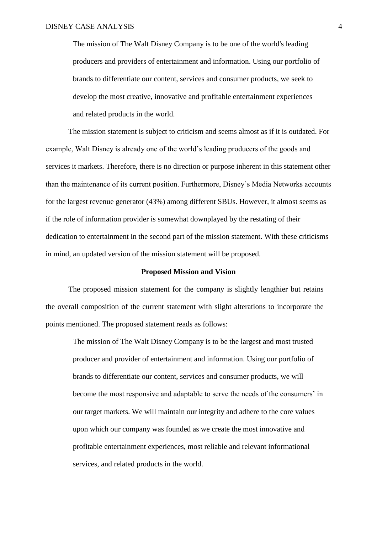The mission of The Walt Disney Company is to be one of the world's leading producers and providers of entertainment and information. Using our portfolio of brands to differentiate our content, services and consumer products, we seek to develop the most creative, innovative and profitable entertainment experiences and related products in the world.

The mission statement is subject to criticism and seems almost as if it is outdated. For example, Walt Disney is already one of the world's leading producers of the goods and services it markets. Therefore, there is no direction or purpose inherent in this statement other than the maintenance of its current position. Furthermore, Disney's Media Networks accounts for the largest revenue generator (43%) among different SBUs. However, it almost seems as if the role of information provider is somewhat downplayed by the restating of their dedication to entertainment in the second part of the mission statement. With these criticisms in mind, an updated version of the mission statement will be proposed.

#### **Proposed Mission and Vision**

The proposed mission statement for the company is slightly lengthier but retains the overall composition of the current statement with slight alterations to incorporate the points mentioned. The proposed statement reads as follows:

The mission of The Walt Disney Company is to be the largest and most trusted producer and provider of entertainment and information. Using our portfolio of brands to differentiate our content, services and consumer products, we will become the most responsive and adaptable to serve the needs of the consumers' in our target markets. We will maintain our integrity and adhere to the core values upon which our company was founded as we create the most innovative and profitable entertainment experiences, most reliable and relevant informational services, and related products in the world.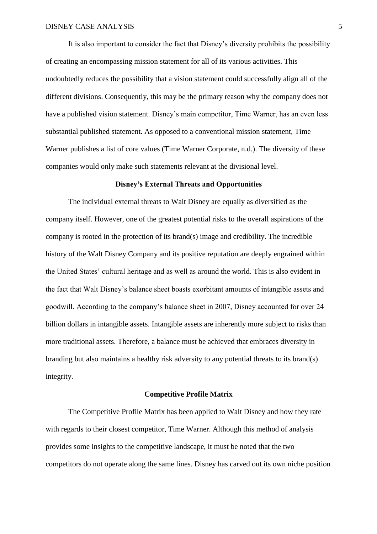It is also important to consider the fact that Disney's diversity prohibits the possibility of creating an encompassing mission statement for all of its various activities. This undoubtedly reduces the possibility that a vision statement could successfully align all of the different divisions. Consequently, this may be the primary reason why the company does not have a published vision statement. Disney's main competitor, Time Warner, has an even less substantial published statement. As opposed to a conventional mission statement, Time Warner publishes a list of core values (Time Warner Corporate, n.d.). The diversity of these companies would only make such statements relevant at the divisional level.

### **Disney's External Threats and Opportunities**

The individual external threats to Walt Disney are equally as diversified as the company itself. However, one of the greatest potential risks to the overall aspirations of the company is rooted in the protection of its brand(s) image and credibility. The incredible history of the Walt Disney Company and its positive reputation are deeply engrained within the United States' cultural heritage and as well as around the world. This is also evident in the fact that Walt Disney's balance sheet boasts exorbitant amounts of intangible assets and goodwill. According to the company's balance sheet in 2007, Disney accounted for over 24 billion dollars in intangible assets. Intangible assets are inherently more subject to risks than more traditional assets. Therefore, a balance must be achieved that embraces diversity in branding but also maintains a healthy risk adversity to any potential threats to its brand(s) integrity.

## **Competitive Profile Matrix**

The Competitive Profile Matrix has been applied to Walt Disney and how they rate with regards to their closest competitor, Time Warner. Although this method of analysis provides some insights to the competitive landscape, it must be noted that the two competitors do not operate along the same lines. Disney has carved out its own niche position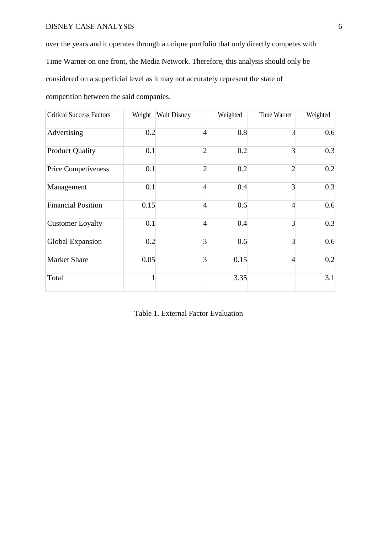# DISNEY CASE ANALYSIS 6

over the years and it operates through a unique portfolio that only directly competes with Time Warner on one front, the Media Network. Therefore, this analysis should only be considered on a superficial level as it may not accurately represent the state of competition between the said companies.

| <b>Critical Success Factors</b> | Weight | <b>Walt Disney</b> | Weighted | Time Warner    | Weighted |
|---------------------------------|--------|--------------------|----------|----------------|----------|
| Advertising                     | 0.2    | $\overline{4}$     | 0.8      | 3              | 0.6      |
| <b>Product Quality</b>          | 0.1    | $\overline{2}$     | 0.2      | $\overline{3}$ | 0.3      |
| Price Competiveness             | 0.1    | $\overline{2}$     | 0.2      | $\overline{2}$ | 0.2      |
| Management                      | 0.1    | $\overline{4}$     | 0.4      | $\overline{3}$ | 0.3      |
| <b>Financial Position</b>       | 0.15   | $\overline{4}$     | 0.6      | $\overline{4}$ | 0.6      |
| <b>Customer Loyalty</b>         | 0.1    | $\overline{4}$     | 0.4      | $\overline{3}$ | 0.3      |
| Global Expansion                | 0.2    | 3                  | 0.6      | $\overline{3}$ | 0.6      |
| <b>Market Share</b>             | 0.05   | 3                  | 0.15     | $\overline{4}$ | 0.2      |
| Total                           | 1      |                    | 3.35     |                | 3.1      |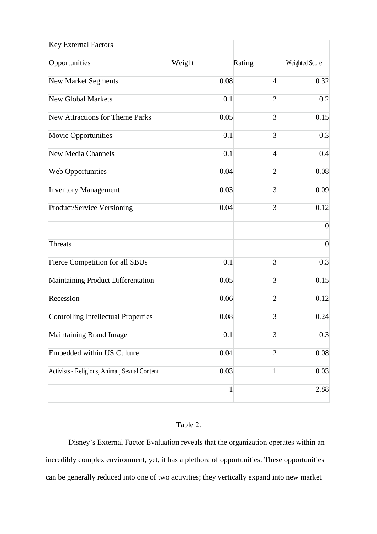| <b>Key External Factors</b>                   |              |                |                |
|-----------------------------------------------|--------------|----------------|----------------|
| Opportunities                                 | Weight       | Rating         | Weighted Score |
| <b>New Market Segments</b>                    | 0.08         | $\overline{4}$ | 0.32           |
| <b>New Global Markets</b>                     | 0.1          | $\overline{2}$ | 0.2            |
| <b>New Attractions for Theme Parks</b>        | 0.05         | 3              | 0.15           |
| <b>Movie Opportunities</b>                    | 0.1          | 3              | 0.3            |
| <b>New Media Channels</b>                     | 0.1          | $\overline{4}$ | 0.4            |
| <b>Web Opportunities</b>                      | 0.04         | $\overline{2}$ | 0.08           |
| <b>Inventory Management</b>                   | 0.03         | 3              | 0.09           |
| Product/Service Versioning                    | 0.04         | 3              | 0.12           |
|                                               |              |                | $\theta$       |
| <b>Threats</b>                                |              |                | $\overline{0}$ |
| <b>Fierce Competition for all SBUs</b>        | 0.1          | 3              | 0.3            |
| Maintaining Product Differentation            | 0.05         | $\overline{3}$ | 0.15           |
| Recession                                     | 0.06         | $\overline{2}$ | 0.12           |
| Controlling Intellectual Properties           | 0.08         | 3              | 0.24           |
| Maintaining Brand Image                       | 0.1          | 3              | 0.3            |
| Embedded within US Culture                    | 0.04         | $\overline{2}$ | 0.08           |
| Activists - Religious, Animal, Sexual Content | 0.03         | $\mathbf{1}$   | 0.03           |
|                                               | $\mathbf{1}$ |                | 2.88           |

## Table 2.

Disney's External Factor Evaluation reveals that the organization operates within an incredibly complex environment, yet, it has a plethora of opportunities. These opportunities can be generally reduced into one of two activities; they vertically expand into new market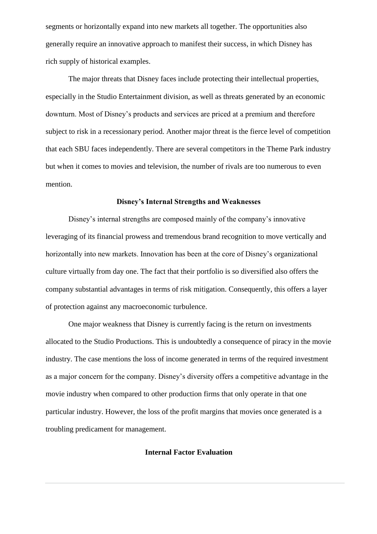segments or horizontally expand into new markets all together. The opportunities also generally require an innovative approach to manifest their success, in which Disney has rich supply of historical examples.

The major threats that Disney faces include protecting their intellectual properties, especially in the Studio Entertainment division, as well as threats generated by an economic downturn. Most of Disney's products and services are priced at a premium and therefore subject to risk in a recessionary period. Another major threat is the fierce level of competition that each SBU faces independently. There are several competitors in the Theme Park industry but when it comes to movies and television, the number of rivals are too numerous to even mention.

### **Disney's Internal Strengths and Weaknesses**

Disney's internal strengths are composed mainly of the company's innovative leveraging of its financial prowess and tremendous brand recognition to move vertically and horizontally into new markets. Innovation has been at the core of Disney's organizational culture virtually from day one. The fact that their portfolio is so diversified also offers the company substantial advantages in terms of risk mitigation. Consequently, this offers a layer of protection against any macroeconomic turbulence.

One major weakness that Disney is currently facing is the return on investments allocated to the Studio Productions. This is undoubtedly a consequence of piracy in the movie industry. The case mentions the loss of income generated in terms of the required investment as a major concern for the company. Disney's diversity offers a competitive advantage in the movie industry when compared to other production firms that only operate in that one particular industry. However, the loss of the profit margins that movies once generated is a troubling predicament for management.

## **Internal Factor Evaluation**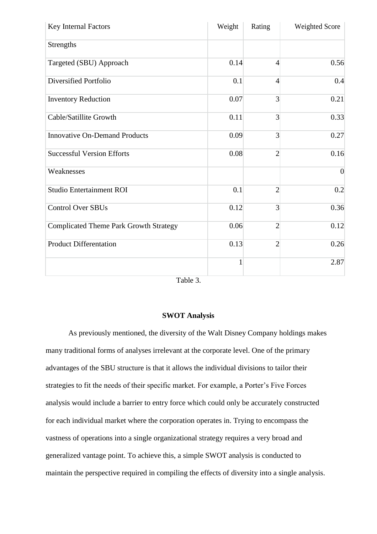| Key Internal Factors                          | Weight       | Rating         | Weighted Score |
|-----------------------------------------------|--------------|----------------|----------------|
| Strengths                                     |              |                |                |
| Targeted (SBU) Approach                       | 0.14         | $\overline{4}$ | 0.56           |
| Diversified Portfolio                         | 0.1          | $\overline{4}$ | 0.4            |
| <b>Inventory Reduction</b>                    | 0.07         | 3              | 0.21           |
| Cable/Satillite Growth                        | 0.11         | 3              | 0.33           |
| <b>Innovative On-Demand Products</b>          | 0.09         | 3              | 0.27           |
| <b>Successful Version Efforts</b>             | 0.08         | $\overline{2}$ | 0.16           |
| Weaknesses                                    |              |                | $\overline{0}$ |
| <b>Studio Entertainment ROI</b>               | 0.1          | $\overline{2}$ | 0.2            |
| <b>Control Over SBUs</b>                      | 0.12         | 3              | 0.36           |
| <b>Complicated Theme Park Growth Strategy</b> | 0.06         | $\overline{2}$ | 0.12           |
| <b>Product Differentation</b>                 | 0.13         | $\overline{2}$ | 0.26           |
|                                               | $\mathbf{1}$ |                | 2.87           |

Table 3.

## **SWOT Analysis**

As previously mentioned, the diversity of the Walt Disney Company holdings makes many traditional forms of analyses irrelevant at the corporate level. One of the primary advantages of the SBU structure is that it allows the individual divisions to tailor their strategies to fit the needs of their specific market. For example, a Porter's Five Forces analysis would include a barrier to entry force which could only be accurately constructed for each individual market where the corporation operates in. Trying to encompass the vastness of operations into a single organizational strategy requires a very broad and generalized vantage point. To achieve this, a simple SWOT analysis is conducted to maintain the perspective required in compiling the effects of diversity into a single analysis.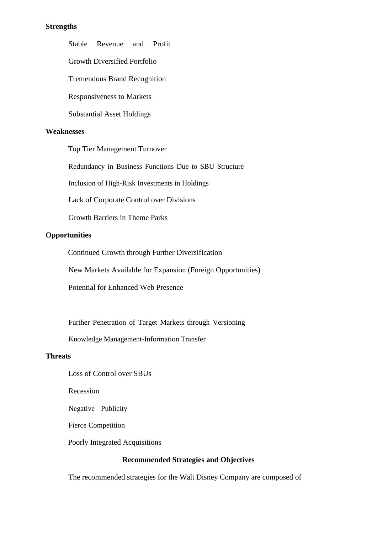## **Strengths**

Stable Revenue and Profit

Growth Diversified Portfolio

Tremendous Brand Recognition

Responsiveness to Markets

Substantial Asset Holdings

### **Weaknesses**

Top Tier Management Turnover

Redundancy in Business Functions Due to SBU Structure

Inclusion of High-Risk Investments in Holdings

Lack of Corporate Control over Divisions

Growth Barriers in Theme Parks

## **Opportunities**

Continued Growth through Further Diversification

New Markets Available for Expansion (Foreign Opportunities)

Potential for Enhanced Web Presence

Further Penetration of Target Markets through Versioning

Knowledge Management-Information Transfer

### **Threats**

Loss of Control over SBUs

Recession

Negative Publicity

Fierce Competition

Poorly Integrated Acquisitions

# **Recommended Strategies and Objectives**

The recommended strategies for the Walt Disney Company are composed of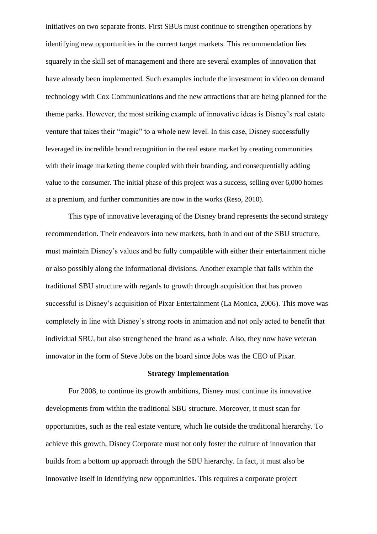initiatives on two separate fronts. First SBUs must continue to strengthen operations by identifying new opportunities in the current target markets. This recommendation lies squarely in the skill set of management and there are several examples of innovation that have already been implemented. Such examples include the investment in video on demand technology with Cox Communications and the new attractions that are being planned for the theme parks. However, the most striking example of innovative ideas is Disney's real estate venture that takes their "magic" to a whole new level. In this case, Disney successfully leveraged its incredible brand recognition in the real estate market by creating communities with their image marketing theme coupled with their branding, and consequentially adding value to the consumer. The initial phase of this project was a success, selling over 6,000 homes at a premium, and further communities are now in the works (Reso, 2010).

This type of innovative leveraging of the Disney brand represents the second strategy recommendation. Their endeavors into new markets, both in and out of the SBU structure, must maintain Disney's values and be fully compatible with either their entertainment niche or also possibly along the informational divisions. Another example that falls within the traditional SBU structure with regards to growth through acquisition that has proven successful is Disney's acquisition of Pixar Entertainment (La Monica, 2006). This move was completely in line with Disney's strong roots in animation and not only acted to benefit that individual SBU, but also strengthened the brand as a whole. Also, they now have veteran innovator in the form of Steve Jobs on the board since Jobs was the CEO of Pixar.

### **Strategy Implementation**

For 2008, to continue its growth ambitions, Disney must continue its innovative developments from within the traditional SBU structure. Moreover, it must scan for opportunities, such as the real estate venture, which lie outside the traditional hierarchy. To achieve this growth, Disney Corporate must not only foster the culture of innovation that builds from a bottom up approach through the SBU hierarchy. In fact, it must also be innovative itself in identifying new opportunities. This requires a corporate project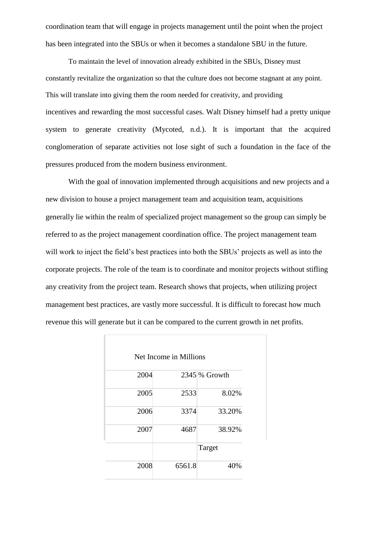coordination team that will engage in projects management until the point when the project has been integrated into the SBUs or when it becomes a standalone SBU in the future.

To maintain the level of innovation already exhibited in the SBUs, Disney must constantly revitalize the organization so that the culture does not become stagnant at any point. This will translate into giving them the room needed for creativity, and providing incentives and rewarding the most successful cases. Walt Disney himself had a pretty unique system to generate creativity (Mycoted, n.d.). It is important that the acquired conglomeration of separate activities not lose sight of such a foundation in the face of the pressures produced from the modern business environment.

With the goal of innovation implemented through acquisitions and new projects and a new division to house a project management team and acquisition team, acquisitions generally lie within the realm of specialized project management so the group can simply be referred to as the project management coordination office. The project management team will work to inject the field's best practices into both the SBUs' projects as well as into the corporate projects. The role of the team is to coordinate and monitor projects without stifling any creativity from the project team. Research shows that projects, when utilizing project management best practices, are vastly more successful. It is difficult to forecast how much revenue this will generate but it can be compared to the current growth in net profits.

|      | Net Income in Millions |                 |
|------|------------------------|-----------------|
| 2004 |                        | $2345\%$ Growth |
|      |                        |                 |
| 2005 | 2533                   | 8.02%           |
| 2006 | 3374                   | 33.20%          |
| 2007 | 4687                   | 38.92%          |
|      |                        | Target          |
| 2008 | 6561.8                 | 40%             |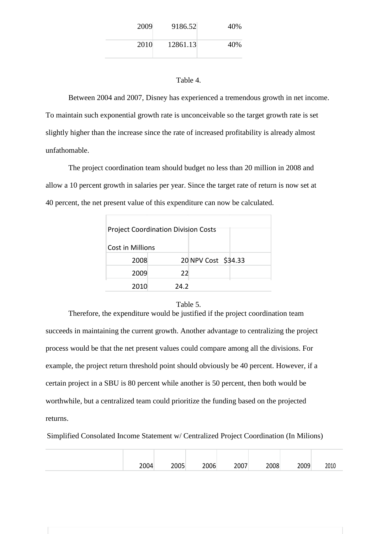| 2009 | 9186.52  | 40% |
|------|----------|-----|
| 2010 | 12861.13 | 40% |

## Table 4.

Between 2004 and 2007, Disney has experienced a tremendous growth in net income. To maintain such exponential growth rate is unconceivable so the target growth rate is set slightly higher than the increase since the rate of increased profitability is already almost unfathomable.

The project coordination team should budget no less than 20 million in 2008 and allow a 10 percent growth in salaries per year. Since the target rate of return is now set at 40 percent, the net present value of this expenditure can now be calculated.

| <b>Project Coordination Division Costs</b> |      |                     |  |  |  |  |
|--------------------------------------------|------|---------------------|--|--|--|--|
| Cost in Millions                           |      |                     |  |  |  |  |
| 2008                                       |      | 20 NPV Cost \$34.33 |  |  |  |  |
| 2009                                       | 22   |                     |  |  |  |  |
| 2010                                       | 24.2 |                     |  |  |  |  |

#### Table 5.

Therefore, the expenditure would be justified if the project coordination team succeeds in maintaining the current growth. Another advantage to centralizing the project process would be that the net present values could compare among all the divisions. For example, the project return threshold point should obviously be 40 percent. However, if a certain project in a SBU is 80 percent while another is 50 percent, then both would be worthwhile, but a centralized team could prioritize the funding based on the projected returns.

Simplified Consolated Income Statement w/ Centralized Project Coordination (In Milions)

| 2004 | ח∩ר<br>-- UU - | 2006 | 2007 | 2008 | 2009 | 2010 |
|------|----------------|------|------|------|------|------|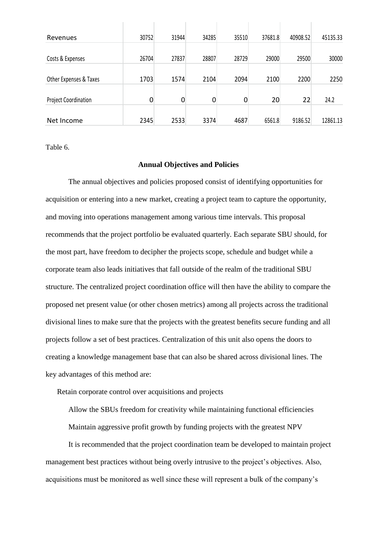| Revenues                    | 30752       | 31944       | 34285 | 35510 | 37681.8 | 40908.52 | 45135.33 |
|-----------------------------|-------------|-------------|-------|-------|---------|----------|----------|
|                             |             |             |       |       |         |          |          |
| Costs & Expenses            | 26704       | 27837       | 28807 | 28729 | 29000   | 29500    | 30000    |
|                             |             |             |       |       |         |          |          |
| Other Expenses & Taxes      | 1703        | 1574        | 2104  | 2094  | 2100    | 2200     | 2250     |
|                             |             |             |       |       |         |          |          |
| <b>Project Coordination</b> | $\mathbf 0$ | $\mathbf 0$ | 0     | 0     | 20      | 22       | 24.2     |
|                             |             |             |       |       |         |          |          |
| Net Income                  | 2345        | 2533        | 3374  | 4687  | 6561.8  | 9186.52  | 12861.13 |

Table 6.

#### **Annual Objectives and Policies**

The annual objectives and policies proposed consist of identifying opportunities for acquisition or entering into a new market, creating a project team to capture the opportunity, and moving into operations management among various time intervals. This proposal recommends that the project portfolio be evaluated quarterly. Each separate SBU should, for the most part, have freedom to decipher the projects scope, schedule and budget while a corporate team also leads initiatives that fall outside of the realm of the traditional SBU structure. The centralized project coordination office will then have the ability to compare the proposed net present value (or other chosen metrics) among all projects across the traditional divisional lines to make sure that the projects with the greatest benefits secure funding and all projects follow a set of best practices. Centralization of this unit also opens the doors to creating a knowledge management base that can also be shared across divisional lines. The key advantages of this method are:

Retain corporate control over acquisitions and projects

Allow the SBUs freedom for creativity while maintaining functional efficiencies

Maintain aggressive profit growth by funding projects with the greatest NPV

It is recommended that the project coordination team be developed to maintain project management best practices without being overly intrusive to the project's objectives. Also, acquisitions must be monitored as well since these will represent a bulk of the company's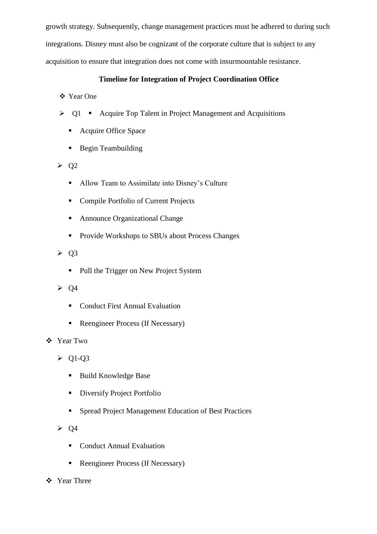growth strategy. Subsequently, change management practices must be adhered to during such integrations. Disney must also be cognizant of the corporate culture that is subject to any acquisition to ensure that integration does not come with insurmountable resistance.

# **Timeline for Integration of Project Coordination Office**

# Year One

- $\geq$  Q1 Acquire Top Talent in Project Management and Acquisitions
	- Acquire Office Space
	- Begin Teambuilding
- $\triangleright$  Q2
	- Allow Team to Assimilate into Disney's Culture
	- Compile Portfolio of Current Projects
	- Announce Organizational Change
	- **Provide Workshops to SBUs about Process Changes**

 $\geqslant$  Q3

- Pull the Trigger on New Project System
- $\triangleright$  Q4
	- Conduct First Annual Evaluation
	- Reengineer Process (If Necessary)
- Year Two

 $\triangleright$  Q1-Q3

- Build Knowledge Base
- **Diversify Project Portfolio**
- **Spread Project Management Education of Best Practices**

 $\geqslant$  04

- Conduct Annual Evaluation
- Reengineer Process (If Necessary)
- Year Three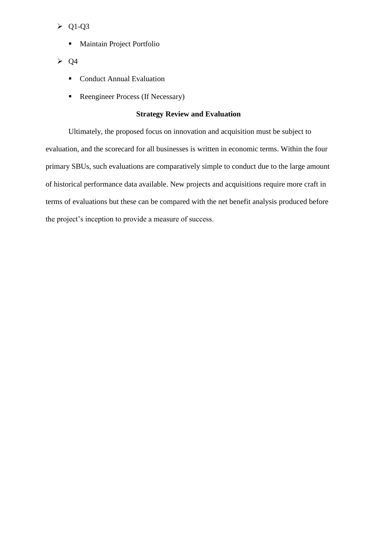$\triangleright$  Q1-Q3

- **Maintain Project Portfolio**
- $\geq Q4$ 
	- **Conduct Annual Evaluation**
	- Reengineer Process (If Necessary)

## **Strategy Review and Evaluation**

Ultimately, the proposed focus on innovation and acquisition must be subject to evaluation, and the scorecard for all businesses is written in economic terms. Within the four primary SBUs, such evaluations are comparatively simple to conduct due to the large amount of historical performance data available. New projects and acquisitions require more craft in terms of evaluations but these can be compared with the net benefit analysis produced before the project's inception to provide a measure of success.